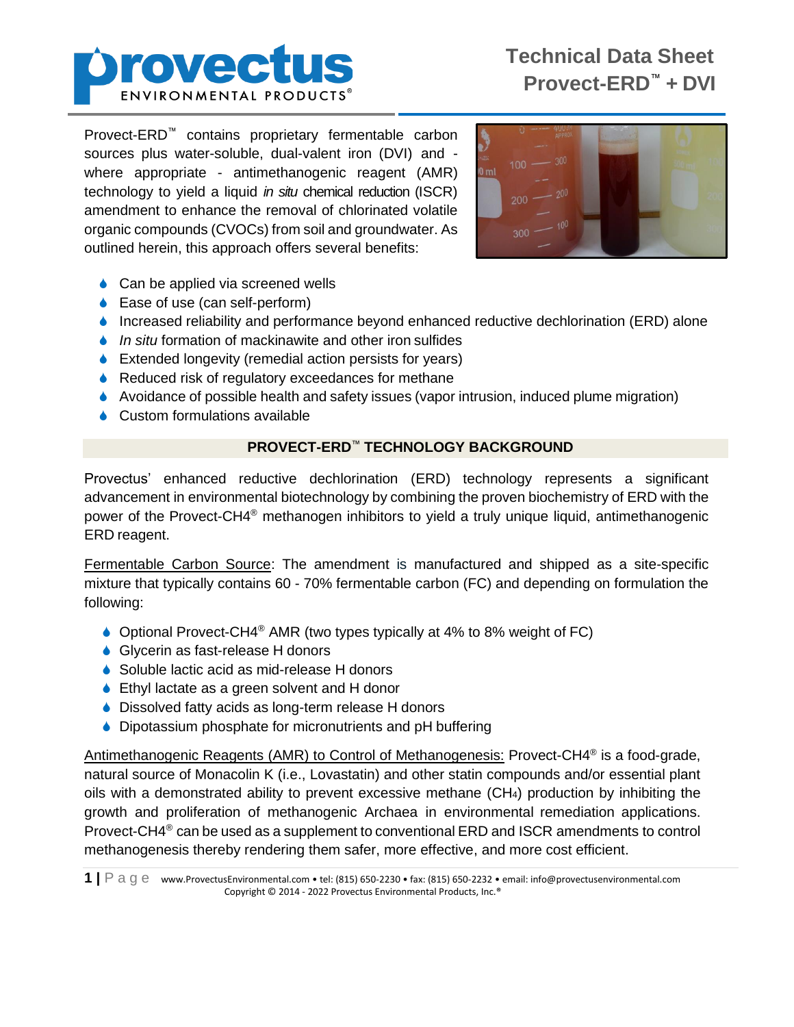

Provect-ERD™ contains proprietary fermentable carbon sources plus water-soluble, dual-valent iron (DVI) and where appropriate - antimethanogenic reagent (AMR) technology to yield a liquid *in situ* chemical reduction (ISCR) amendment to enhance the removal of chlorinated volatile organic compounds (CVOCs) from soil and groundwater. As outlined herein, this approach offers several benefits:



- **↓** Can be applied via screened wells
- **■** Ease of use (can self-perform)
- ♦ Increased reliability and performance beyond enhanced reductive dechlorination (ERD) alone
- *In situ formation of mackinawite and other iron sulfides*
- ♦ Extended longevity (remedial action persists for years)
- ♦ Reduced risk of regulatory exceedances for methane
- $\blacklozenge$  Avoidance of possible health and safety issues (vapor intrusion, induced plume migration)
- **↓** Custom formulations available

## **PROVECT-ERD**™ **TECHNOLOGY BACKGROUND**

Provectus' enhanced reductive dechlorination (ERD) technology represents a significant advancement in environmental biotechnology by combining the proven biochemistry of ERD with the power of the Provect-CH4<sup>®</sup> methanogen inhibitors to yield a truly unique liquid, antimethanogenic ERD reagent.

Fermentable Carbon Source: The amendment is manufactured and shipped as a site-specific mixture that typically contains 60 - 70% fermentable carbon (FC) and depending on formulation the following:

- Optional Provect-CH4® AMR (two types typically at 4% to 8% weight of FC)
- ◆ Glycerin as fast-release H donors
- ♦ Soluble lactic acid as mid-release H donors
- ♦ Ethyl lactate as a green solvent and H donor
- ♦ Dissolved fatty acids as long-term release H donors
- ♦ Dipotassium phosphate for micronutrients and pH buffering

Antimethanogenic Reagents (AMR) to Control of Methanogenesis: Provect-CH4<sup>®</sup> is a food-grade, natural source of Monacolin K (i.e., Lovastatin) and other statin compounds and/or essential plant oils with a demonstrated ability to prevent excessive methane (CH4) production by inhibiting the growth and proliferation of methanogenic Archaea in environmental remediation applications. Provect-CH4<sup>®</sup> can be used as a supplement to conventional ERD and ISCR amendments to control methanogenesis thereby rendering them safer, more effective, and more cost efficient.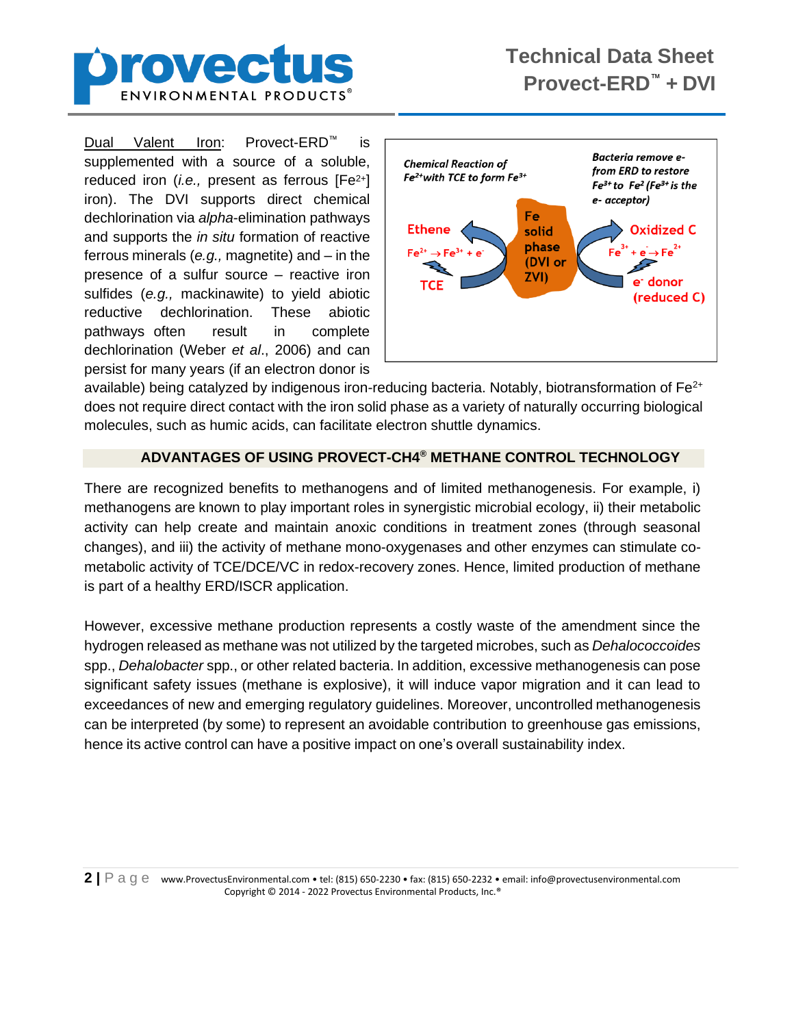

Dual Valent Iron: Provect-ERD™ is supplemented with a source of a soluble, reduced iron (*i.e.,* present as ferrous [Fe2+] iron). The DVI supports direct chemical dechlorination via *alpha*-elimination pathways and supports the *in situ* formation of reactive ferrous minerals (*e.g.,* magnetite) and – in the presence of a sulfur source – reactive iron sulfides (*e.g.,* mackinawite) to yield abiotic reductive dechlorination. These abiotic pathways often result in complete dechlorination (Weber *et al*., 2006) and can persist for many years (if an electron donor is



available) being catalyzed by indigenous iron-reducing bacteria. Notably, biotransformation of  $Fe<sup>2+</sup>$ does not require direct contact with the iron solid phase as a variety of naturally occurring biological molecules, such as humic acids, can facilitate electron shuttle dynamics.

## **ADVANTAGES OF USING PROVECT-CH4® METHANE CONTROL TECHNOLOGY**

There are recognized benefits to methanogens and of limited methanogenesis. For example, i) methanogens are known to play important roles in synergistic microbial ecology, ii) their metabolic activity can help create and maintain anoxic conditions in treatment zones (through seasonal changes), and iii) the activity of methane mono-oxygenases and other enzymes can stimulate cometabolic activity of TCE/DCE/VC in redox-recovery zones. Hence, limited production of methane is part of a healthy ERD/ISCR application.

However, excessive methane production represents a costly waste of the amendment since the hydrogen released as methane was not utilized by the targeted microbes, such as *Dehalococcoides*  spp., *Dehalobacter* spp., or other related bacteria. In addition, excessive methanogenesis can pose significant safety issues (methane is explosive), it will induce vapor migration and it can lead to exceedances of new and emerging regulatory guidelines. Moreover, uncontrolled methanogenesis can be interpreted (by some) to represent an avoidable contribution to greenhouse gas emissions, hence its active control can have a positive impact on one's overall sustainability index.

**2 |** P a g e www.ProvectusEnvironmental.com • tel: (815) 650-2230 • fax: (815) 650-2232 • email: info@provectusenvironmental.com Copyright © 2014 - 2022 Provectus Environmental Products, Inc.®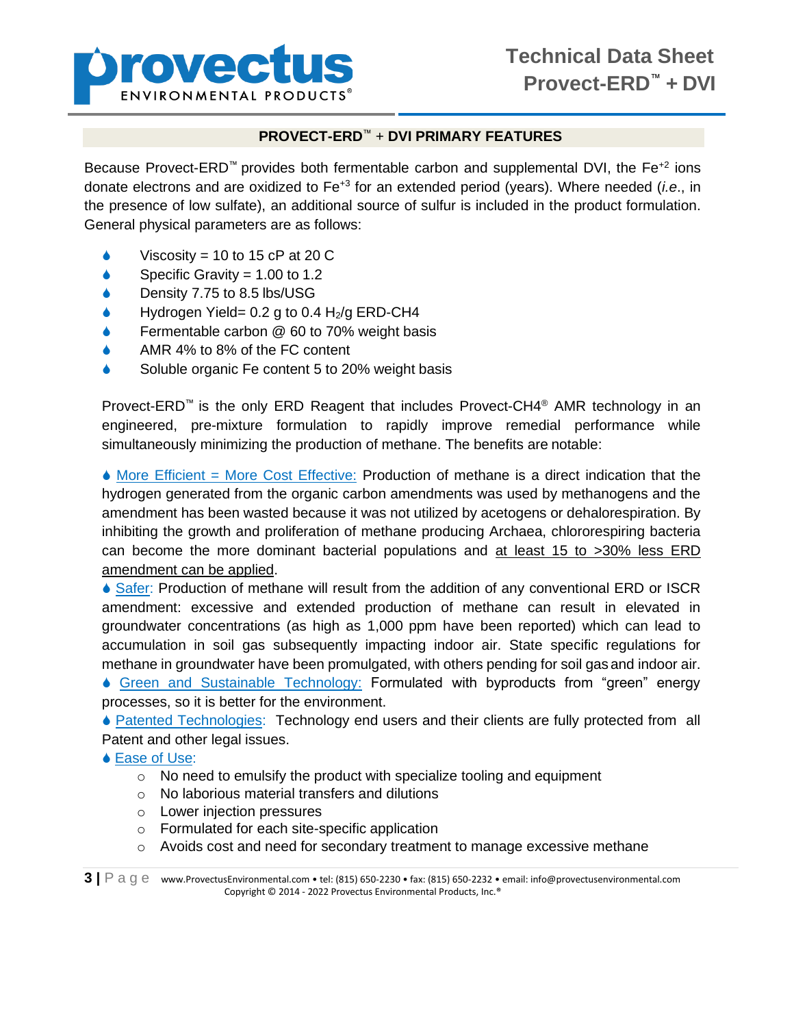

## **PROVECT-ERD**™ + **DVI PRIMARY FEATURES**

Because Provect-ERD<sup>™</sup> provides both fermentable carbon and supplemental DVI, the Fe<sup>+2</sup> ions donate electrons and are oxidized to Fe+3 for an extended period (years). Where needed (*i.e*., in the presence of low sulfate), an additional source of sulfur is included in the product formulation. General physical parameters are as follows:

- Viscosity = 10 to 15 cP at 20 C
- Specific Gravity =  $1.00$  to  $1.2$
- ◆ Density 7.75 to 8.5 lbs/USG
- $\bullet$  Hydrogen Yield= 0.2 g to 0.4 H<sub>2</sub>/g ERD-CH4
- Fermentable carbon @ 60 to 70% weight basis
- AMR 4% to 8% of the FC content
- Soluble organic Fe content 5 to 20% weight basis

Provect-ERD™ is the only ERD Reagent that includes Provect-CH4® AMR technology in an engineered, pre-mixture formulation to rapidly improve remedial performance while simultaneously minimizing the production of methane. The benefits are notable:

 $\blacklozenge$  More Efficient = More Cost Effective: Production of methane is a direct indication that the hydrogen generated from the organic carbon amendments was used by methanogens and the amendment has been wasted because it was not utilized by acetogens or dehalorespiration. By inhibiting the growth and proliferation of methane producing Archaea, chlororespiring bacteria can become the more dominant bacterial populations and at least 15 to >30% less ERD amendment can be applied.

♦ Safer: Production of methane will result from the addition of any conventional ERD or ISCR amendment: excessive and extended production of methane can result in elevated in groundwater concentrations (as high as 1,000 ppm have been reported) which can lead to accumulation in soil gas subsequently impacting indoor air. State specific regulations for methane in groundwater have been promulgated, with others pending for soil gasand indoor air.

 Green and Sustainable Technology: Formulated with byproducts from "green" energy processes, so it is better for the environment.

**• Patented Technologies: Technology end users and their clients are fully protected from all** Patent and other legal issues.

- **↓ Ease of Use:** 
	- o No need to emulsify the product with specialize tooling and equipment
	- o No laborious material transfers and dilutions
	- o Lower injection pressures
	- o Formulated for each site-specific application
	- $\circ$  Avoids cost and need for secondary treatment to manage excessive methane

**3 |** P a g e www.ProvectusEnvironmental.com • tel: (815) 650-2230 • fax: (815) 650-2232 • email: info@provectusenvironmental.com Copyright © 2014 - 2022 Provectus Environmental Products, Inc.®